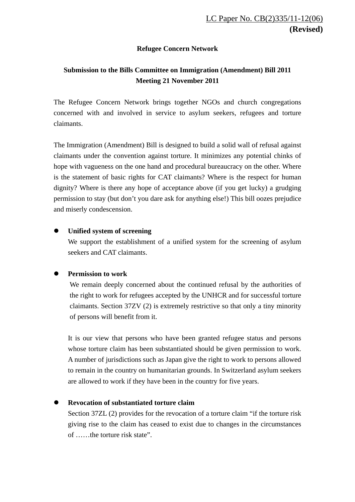## **Refugee Concern Network**

# **Submission to the Bills Committee on Immigration (Amendment) Bill 2011 Meeting 21 November 2011**

The Refugee Concern Network brings together NGOs and church congregations concerned with and involved in service to asylum seekers, refugees and torture claimants.

The Immigration (Amendment) Bill is designed to build a solid wall of refusal against claimants under the convention against torture. It minimizes any potential chinks of hope with vagueness on the one hand and procedural bureaucracy on the other. Where is the statement of basic rights for CAT claimants? Where is the respect for human dignity? Where is there any hope of acceptance above (if you get lucky) a grudging permission to stay (but don't you dare ask for anything else!) This bill oozes prejudice and miserly condescension.

#### **Unified system of screening**

We support the establishment of a unified system for the screening of asylum seekers and CAT claimants.

#### **Permission to work**

We remain deeply concerned about the continued refusal by the authorities of the right to work for refugees accepted by the UNHCR and for successful torture claimants. Section 37ZV (2) is extremely restrictive so that only a tiny minority of persons will benefit from it.

It is our view that persons who have been granted refugee status and persons whose torture claim has been substantiated should be given permission to work. A number of jurisdictions such as Japan give the right to work to persons allowed to remain in the country on humanitarian grounds. In Switzerland asylum seekers are allowed to work if they have been in the country for five years.

### **Revocation of substantiated torture claim**

Section 37ZL (2) provides for the revocation of a torture claim "if the torture risk giving rise to the claim has ceased to exist due to changes in the circumstances of ……the torture risk state".